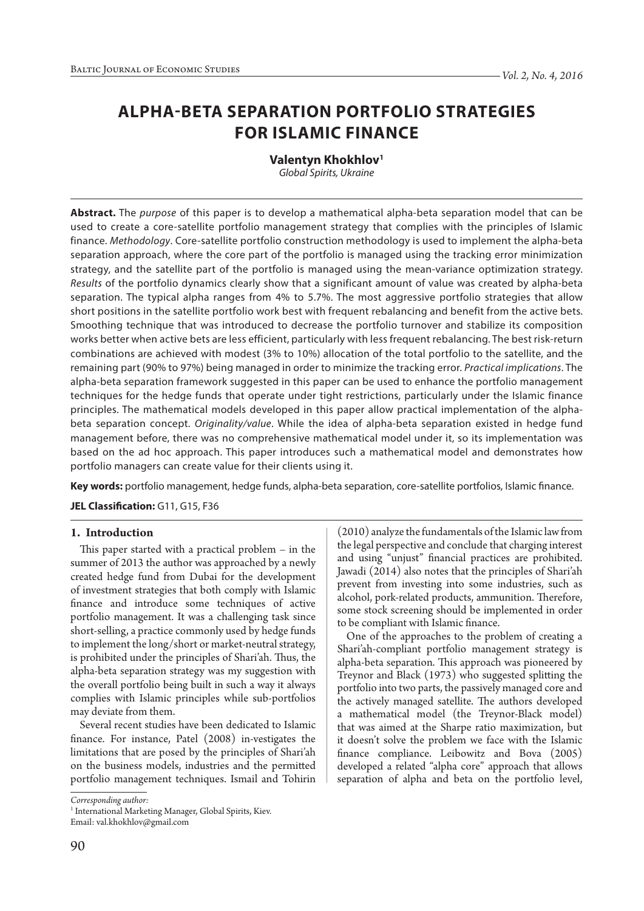# **ALPHA-BETA SEPARATION PORTFOLIO STRATEGIES FOR ISLAMIC FINANCE**

**Valentyn Khokhlov1** *Global Spirits, Ukraine*

**Abstract.** The *purpose* of this paper is to develop a mathematical alpha-beta separation model that can be used to create a core-satellite portfolio management strategy that complies with the principles of Islamic finance. *Methodology*. Core-satellite portfolio construction methodology is used to implement the alpha-beta separation approach, where the core part of the portfolio is managed using the tracking error minimization strategy, and the satellite part of the portfolio is managed using the mean-variance optimization strategy. *Results* of the portfolio dynamics clearly show that a significant amount of value was created by alpha-beta separation. The typical alpha ranges from 4% to 5.7%. The most aggressive portfolio strategies that allow short positions in the satellite portfolio work best with frequent rebalancing and benefit from the active bets. Smoothing technique that was introduced to decrease the portfolio turnover and stabilize its composition works better when active bets are less efficient, particularly with less frequent rebalancing. The best risk-return combinations are achieved with modest (3% to 10%) allocation of the total portfolio to the satellite, and the remaining part (90% to 97%) being managed in order to minimize the tracking error. *Practical implications*. The alpha-beta separation framework suggested in this paper can be used to enhance the portfolio management techniques for the hedge funds that operate under tight restrictions, particularly under the Islamic finance principles. The mathematical models developed in this paper allow practical implementation of the alphabeta separation concept. *Originality/value*. While the idea of alpha-beta separation existed in hedge fund management before, there was no comprehensive mathematical model under it, so its implementation was based on the ad hoc approach. This paper introduces such a mathematical model and demonstrates how portfolio managers can create value for their clients using it.

**Key words:** portfolio management, hedge funds, alpha-beta separation, core-satellite portfolios, Islamic finance.

**JEL Classification:** G11, G15, F36

# **1. Introduction**

This paper started with a practical problem – in the summer of 2013 the author was approached by a newly created hedge fund from Dubai for the development of investment strategies that both comply with Islamic finance and introduce some techniques of active portfolio management. It was a challenging task since short-selling, a practice commonly used by hedge funds to implement the long/short or market-neutral strategy, is prohibited under the principles of Shari'ah. Thus, the alpha-beta separation strategy was my suggestion with the overall portfolio being built in such a way it always complies with Islamic principles while sub-portfolios may deviate from them.

Several recent studies have been dedicated to Islamic finance. For instance, Patel (2008) in-vestigates the limitations that are posed by the principles of Shari'ah on the business models, industries and the permitted portfolio management techniques. Ismail and Tohirin

*Corresponding author:*

<sup>1</sup> International Marketing Manager, Global Spirits, Kiev. Email: val.khokhlov@gmail.com

(2010) analyze the fundamentals of the Islamic law from the legal perspective and conclude that charging interest and using "unjust" financial practices are prohibited. Jawadi (2014) also notes that the principles of Shari'ah prevent from investing into some industries, such as alcohol, pork-related products, ammunition. Therefore, some stock screening should be implemented in order to be compliant with Islamic finance.

One of the approaches to the problem of creating a Shari'ah-compliant portfolio management strategy is alpha-beta separation. This approach was pioneered by Treynor and Black (1973) who suggested splitting the portfolio into two parts, the passively managed core and the actively managed satellite. The authors developed a mathematical model (the Treynor-Black model) that was aimed at the Sharpe ratio maximization, but it doesn't solve the problem we face with the Islamic finance compliance. Leibowitz and Bova (2005) developed a related "alpha core" approach that allows separation of alpha and beta on the portfolio level,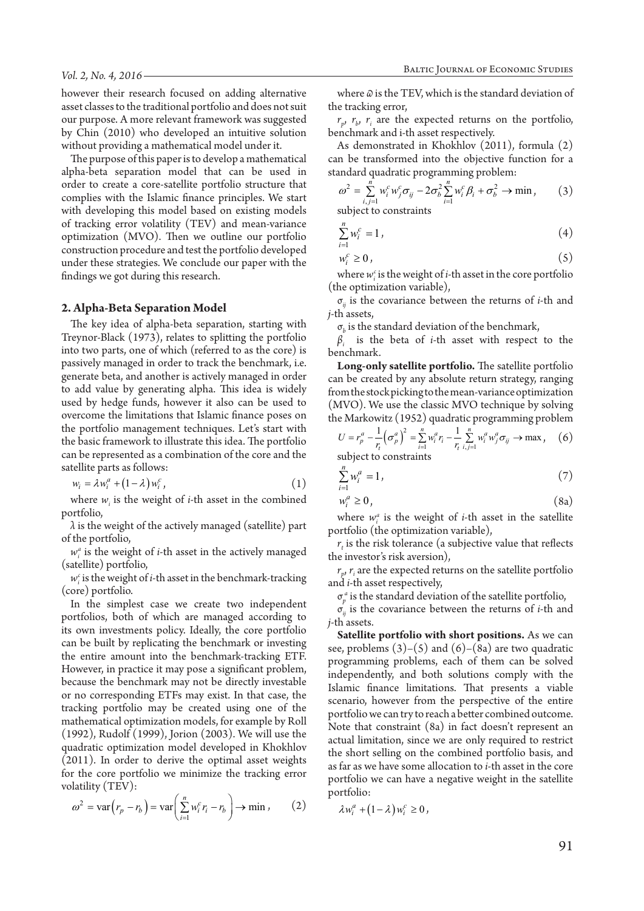however their research focused on adding alternative asset classes to the traditional portfolio and does not suit our purpose. A more relevant framework was suggested by Chin (2010) who developed an intuitive solution without providing a mathematical model under it.

The purpose of this paper is to develop a mathematical alpha-beta separation model that can be used in order to create a core-satellite portfolio structure that complies with the Islamic finance principles. We start with developing this model based on existing models of tracking error volatility (TEV) and mean-variance optimization (MVO). Then we outline our portfolio construction procedure and test the portfolio developed under these strategies. We conclude our paper with the findings we got during this research.

#### **2. Alpha-Beta Separation Model**

The key idea of alpha-beta separation, starting with Treynor-Black (1973), relates to splitting the portfolio into two parts, one of which (referred to as the core) is passively managed in order to track the benchmark, i.e. generate beta, and another is actively managed in order to add value by generating alpha. This idea is widely used by hedge funds, however it also can be used to overcome the limitations that Islamic finance poses on the portfolio management techniques. Let's start with the basic framework to illustrate this idea. The portfolio can be represented as a combination of the core and the satellite parts as follows:

$$
w_i = \lambda w_i^a + (1 - \lambda) w_i^c, \qquad (1)
$$

where  $w_i$  is the weight of *i*-th asset in the combined portfolio,

 $\lambda$  is the weight of the actively managed (satellite) part of the portfolio,

 $w_i^a$  is the weight of *i*-th asset in the actively managed (satellite) portfolio,

 $w_i^c$  is the weight of *i*-th asset in the benchmark-tracking (core) portfolio.

In the simplest case we create two independent portfolios, both of which are managed according to its own investments policy. Ideally, the core portfolio can be built by replicating the benchmark or investing the entire amount into the benchmark-tracking ETF. However, in practice it may pose a significant problem, because the benchmark may not be directly investable or no corresponding ETFs may exist. In that case, the tracking portfolio may be created using one of the mathematical optimization models, for example by Roll (1992), Rudolf (1999), Jorion (2003). We will use the quadratic optimization model developed in Khokhlov (2011). In order to derive the optimal asset weights for the core portfolio we minimize the tracking error volatility (TEV):

$$
\omega^2 = \text{var}\left(r_p - r_b\right) = \text{var}\left(\sum_{i=1}^n w_i^c r_i - r_b\right) \to \text{min} \,,\qquad(2)
$$

where *ω* is the TEV, which is the standard deviation of the tracking error,

 $r_p$ ,  $r_b$ ,  $r_i$  are the expected returns on the portfolio, benchmark and i-th asset respectively.

As demonstrated in Khokhlov (2011), formula (2) can be transformed into the objective function for a standard quadratic programming problem:

$$
\omega^2 = \sum_{i,j=1}^n w_i^c w_j^c \sigma_{ij} - 2\sigma_b^2 \sum_{i=1}^n w_i^c \beta_i + \sigma_b^2 \to \min, \qquad (3)
$$

subject to constraints

$$
\sum_{i=1}^{n} w_i^c = 1, \tag{4}
$$

$$
w_i^c \ge 0 \tag{5}
$$

where  $w_i^c$  is the weight of *i*-th asset in the core portfolio (the optimization variable),

σ*ij* is the covariance between the returns of *i*-th and *j*-th assets,

 $\sigma_b$  is the standard deviation of the benchmark,

*βi* is the beta of *i*-th asset with respect to the benchmark.

**Long-only satellite portfolio.** The satellite portfolio can be created by any absolute return strategy, ranging from the stock picking to the mean-variance optimization (MVO). We use the classic MVO technique by solving the Markowitz (1952) quadratic programming problem

$$
U = r_p^a - \frac{1}{r_t} (\sigma_p^a)^2 = \sum_{i=1}^n w_i^a r_i - \frac{1}{r_t} \sum_{i,j=1}^n w_i^a w_j^a \sigma_{ij} \to \max, \quad (6)
$$

subject to constraints

$$
\sum_{i=1}^{n} w_i^a = 1, \tag{7}
$$

$$
w_i^a \ge 0,\tag{8a}
$$

where  $w_i^a$  is the weight of *i*-th asset in the satellite portfolio (the optimization variable),

 $r<sub>t</sub>$  is the risk tolerance (a subjective value that reflects the investor's risk aversion),

 $r_p$ ,  $r_i$  are the expected returns on the satellite portfolio and *i*-th asset respectively,

 $\sigma_p^a$  is the standard deviation of the satellite portfolio,

σ*ij* is the covariance between the returns of *i*-th and *j*-th assets.

**Satellite portfolio with short positions.** As we can see, problems  $(3)-(5)$  and  $(6)-(8a)$  are two quadratic programming problems, each of them can be solved independently, and both solutions comply with the Islamic finance limitations. That presents a viable scenario, however from the perspective of the entire portfolio we can try to reach a better combined outcome. Note that constraint (8a) in fact doesn't represent an actual limitation, since we are only required to restrict the short selling on the combined portfolio basis, and as far as we have some allocation to *i*-th asset in the core portfolio we can have a negative weight in the satellite portfolio:

$$
\lambda w_i^a + (1 - \lambda) w_i^c \ge 0,
$$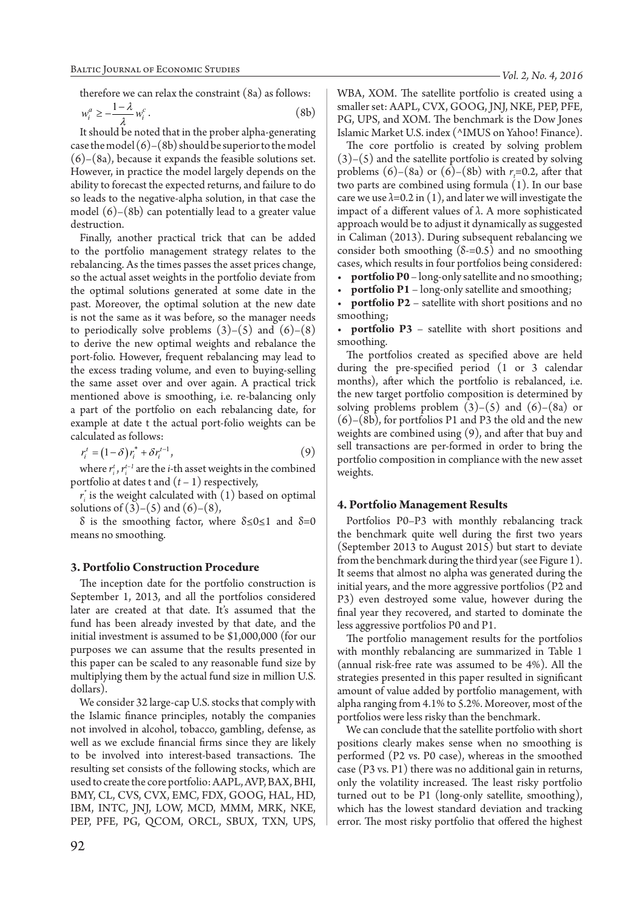therefore we can relax the constraint (8a) as follows:

$$
w_i^a \ge -\frac{1-\lambda}{\lambda} w_i^c. \tag{8b}
$$

It should be noted that in the prober alpha-generating case the model  $(6)$ – $(8b)$  should be superior to the model (6)–(8a), because it expands the feasible solutions set. However, in practice the model largely depends on the ability to forecast the expected returns, and failure to do so leads to the negative-alpha solution, in that case the model  $(6)$ – $(8b)$  can potentially lead to a greater value destruction.

Finally, another practical trick that can be added to the portfolio management strategy relates to the rebalancing. As the times passes the asset prices change, so the actual asset weights in the portfolio deviate from the optimal solutions generated at some date in the past. Moreover, the optimal solution at the new date is not the same as it was before, so the manager needs to periodically solve problems  $(3)-(5)$  and  $(6)-(8)$ to derive the new optimal weights and rebalance the port-folio. However, frequent rebalancing may lead to the excess trading volume, and even to buying-selling the same asset over and over again. A practical trick mentioned above is smoothing, i.e. re-balancing only a part of the portfolio on each rebalancing date, for example at date t the actual port-folio weights can be calculated as follows:

$$
r_i^t = (1 - \delta) r_i^* + \delta r_i^{t-1},\tag{9}
$$

where  $r_i^t$ ,  $r_i^{t-1}$  are the *i*-th asset weights in the combined portfolio at dates t and  $(t-1)$  respectively,

*ri \** is the weight calculated with (1) based on optimal solutions of  $(3)-(5)$  and  $(6)-(8)$ ,

δ is the smoothing factor, where  $δ ≤ 0 ≤ 1$  and  $δ = 0$ means no smoothing.

#### **3. Portfolio Construction Procedure**

The inception date for the portfolio construction is September 1, 2013, and all the portfolios considered later are created at that date. It's assumed that the fund has been already invested by that date, and the initial investment is assumed to be \$1,000,000 (for our purposes we can assume that the results presented in this paper can be scaled to any reasonable fund size by multiplying them by the actual fund size in million U.S. dollars).

We consider 32 large-cap U.S. stocks that comply with the Islamic finance principles, notably the companies not involved in alcohol, tobacco, gambling, defense, as well as we exclude financial firms since they are likely to be involved into interest-based transactions. The resulting set consists of the following stocks, which are used to create the core portfolio: AAPL, AVP, BAX, BHI, BMY, CL, CVS, CVX, EMC, FDX, GOOG, HAL, HD, IBM, INTC, JNJ, LOW, MCD, MMM, MRK, NKE, PEP, PFE, PG, QCOM, ORCL, SBUX, TXN, UPS, *Vol. 2, No. 4, 2016*

WBA, XOM. The satellite portfolio is created using a smaller set: AAPL, CVX, GOOG, JNJ, NKE, PEP, PFE, PG, UPS, and XOM. The benchmark is the Dow Jones Islamic Market U.S. index (^IMUS on Yahoo! Finance).

The core portfolio is created by solving problem  $(3)$ – $(5)$  and the satellite portfolio is created by solving problems  $(6)$ – $(8a)$  or  $(6)$ – $(8b)$  with  $r<sub>t</sub>$ =0.2, after that two parts are combined using formula (1). In our base care we use  $\lambda$ =0.2 in (1), and later we will investigate the impact of a different values of *λ*. A more sophisticated approach would be to adjust it dynamically as suggested in Caliman (2013). During subsequent rebalancing we consider both smoothing  $(\delta = 0.5)$  and no smoothing cases, which results in four portfolios being considered:

• **portfolio P0** – long-only satellite and no smoothing;

• **portfolio P1** – long-only satellite and smoothing;

• **portfolio P2** – satellite with short positions and no smoothing;

• **portfolio P3** – satellite with short positions and smoothing.

The portfolios created as specified above are held during the pre-specified period (1 or 3 calendar months), after which the portfolio is rebalanced, i.e. the new target portfolio composition is determined by solving problems problem  $(3)-(5)$  and  $(6)-(8a)$  or  $(6)$ – $(8b)$ , for portfolios P1 and P3 the old and the new weights are combined using (9), and after that buy and sell transactions are per-formed in order to bring the portfolio composition in compliance with the new asset weights.

# **4. Portfolio Management Results**

Portfolios P0–P3 with monthly rebalancing track the benchmark quite well during the first two years (September 2013 to August 2015) but start to deviate from the benchmark during the third year (see Figure 1). It seems that almost no alpha was generated during the initial years, and the more aggressive portfolios (P2 and P3) even destroyed some value, however during the final year they recovered, and started to dominate the less aggressive portfolios P0 and P1.

The portfolio management results for the portfolios with monthly rebalancing are summarized in Table 1 (annual risk-free rate was assumed to be 4%). All the strategies presented in this paper resulted in significant amount of value added by portfolio management, with alpha ranging from 4.1% to 5.2%. Moreover, most of the portfolios were less risky than the benchmark.

We can conclude that the satellite portfolio with short positions clearly makes sense when no smoothing is performed (P2 vs. P0 case), whereas in the smoothed case (P3 vs. P1) there was no additional gain in returns, only the volatility increased. The least risky portfolio turned out to be P1 (long-only satellite, smoothing), which has the lowest standard deviation and tracking error. The most risky portfolio that offered the highest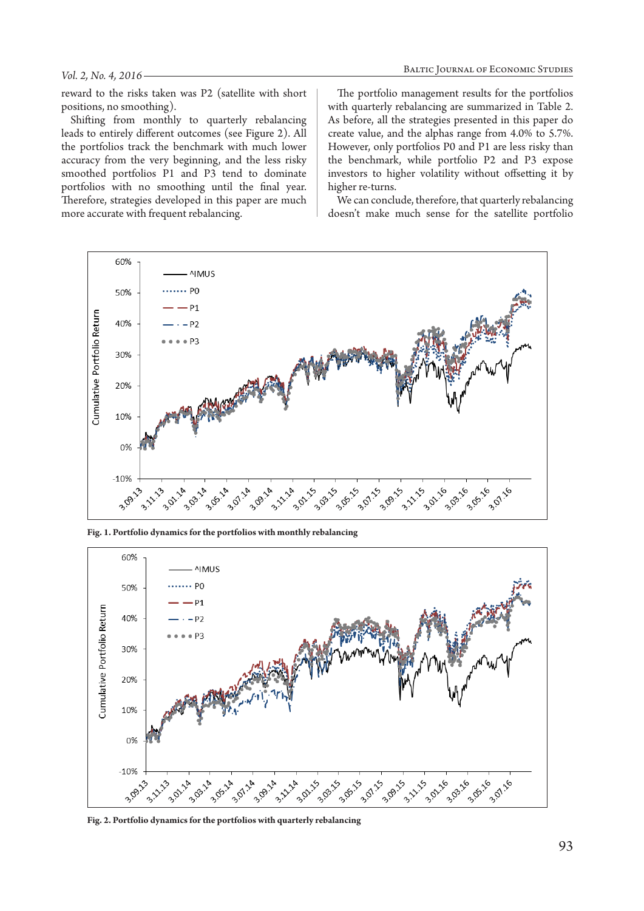#### *Vol. 2, No. 4, 2016*

reward to the risks taken was P2 (satellite with short positions, no smoothing).

Shifting from monthly to quarterly rebalancing leads to entirely different outcomes (see Figure 2). All the portfolios track the benchmark with much lower accuracy from the very beginning, and the less risky smoothed portfolios P1 and P3 tend to dominate portfolios with no smoothing until the final year. Therefore, strategies developed in this paper are much more accurate with frequent rebalancing.

The portfolio management results for the portfolios with quarterly rebalancing are summarized in Table 2. As before, all the strategies presented in this paper do create value, and the alphas range from 4.0% to 5.7%. However, only portfolios P0 and P1 are less risky than the benchmark, while portfolio P2 and P3 expose investors to higher volatility without offsetting it by higher re-turns.

We can conclude, therefore, that quarterly rebalancing doesn't make much sense for the satellite portfolio



**Fig. 1. Portfolio dynamics for the portfolios with monthly rebalancing**



**Fig. 2. Portfolio dynamics for the portfolios with quarterly rebalancing**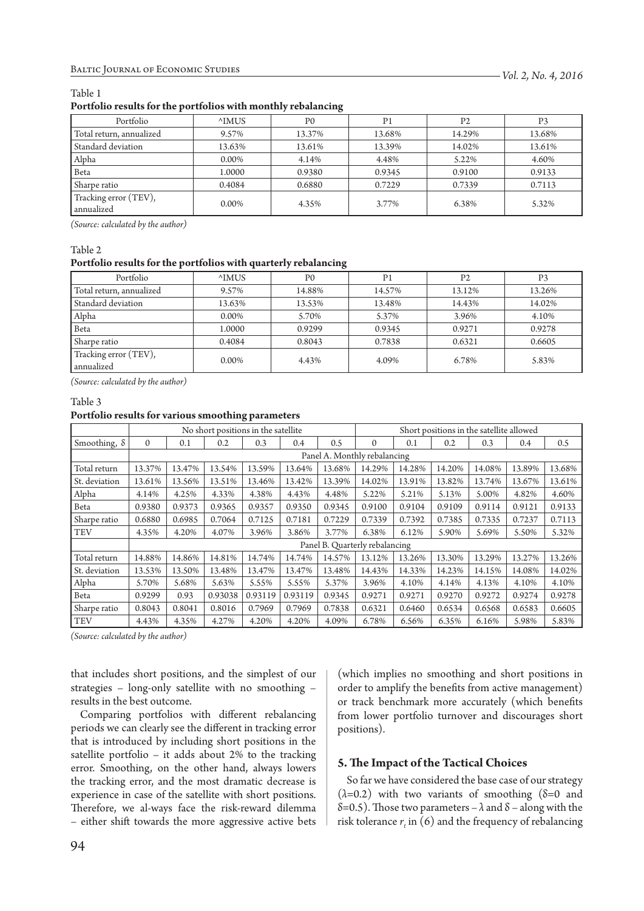## Table 1

#### **Portfolio results for the portfolios with monthly rebalancing**

| Portfolio                           | <sup>^</sup> IMUS | P0     | P1     | P2     | P3     |  |
|-------------------------------------|-------------------|--------|--------|--------|--------|--|
| Total return, annualized            | 9.57%             | 13.37% | 13.68% |        | 13.68% |  |
| Standard deviation                  | 13.63%            | 13.61% | 13.39% | 14.02% | 13.61% |  |
| Alpha                               | 0.00%             | 4.14%  | 4.48%  | 5.22%  | 4.60%  |  |
| Beta                                | 1.0000            | 0.9380 | 0.9345 | 0.9100 | 0.9133 |  |
| Sharpe ratio                        | 0.4084            | 0.6880 | 0.7229 | 0.7339 | 0.7113 |  |
| Tracking error (TEV),<br>annualized | $0.00\%$          | 4.35%  | 3.77%  | 6.38%  | 5.32%  |  |

*(Source: calculated by the author)*

## Table 2

#### **Portfolio results for the portfolios with quarterly rebalancing**

| Portfolio                           | <sup>^</sup> IMUS | P <sub>0</sub> | P1     | P2     | P3     |  |
|-------------------------------------|-------------------|----------------|--------|--------|--------|--|
| Total return, annualized            | 9.57%             | 14.88%         | 14.57% | 13.12% | 13.26% |  |
| Standard deviation                  | 13.63%            | 13.53%         | 13.48% | 14.43% | 14.02% |  |
| Alpha                               | 0.00%             | 5.70%          | 5.37%  | 3.96%  | 4.10%  |  |
| Beta                                | 1.0000            | 0.9299         | 0.9345 | 0.9271 | 0.9278 |  |
| Sharpe ratio                        | 0.4084            | 0.8043         | 0.7838 | 0.6321 | 0.6605 |  |
| Tracking error (TEV),<br>annualized | 0.00%             | 4.43%          | 4.09%  | 6.78%  | 5.83%  |  |

*(Source: calculated by the author)*

## Table 3

#### **Portfolio results for various smoothing parameters**

|                     | No short positions in the satellite |        |         |         |         | Short positions in the satellite allowed |              |        |        |        |        |        |
|---------------------|-------------------------------------|--------|---------|---------|---------|------------------------------------------|--------------|--------|--------|--------|--------|--------|
| Smoothing, $\delta$ | $\mathbf{0}$                        | 0.1    | 0.2     | 0.3     | 0.4     | 0.5                                      | $\mathbf{0}$ | 0.1    | 0.2    | 0.3    | 0.4    | 0.5    |
|                     | Panel A. Monthly rebalancing        |        |         |         |         |                                          |              |        |        |        |        |        |
| Total return        | 13.37%                              | 13.47% | 13.54%  | 13.59%  | 13.64%  | 13.68%                                   | 14.29%       | 14.28% | 14.20% | 14.08% | 13.89% | 13.68% |
| St. deviation       | 13.61%                              | 13.56% | 13.51%  | 13.46%  | 13.42%  | 13.39%                                   | 14.02%       | 13.91% | 13.82% | 13.74% | 13.67% | 13.61% |
| Alpha               | 4.14%                               | 4.25%  | 4.33%   | 4.38%   | 4.43%   | 4.48%                                    | 5.22%        | 5.21%  | 5.13%  | 5.00%  | 4.82%  | 4.60%  |
| Beta                | 0.9380                              | 0.9373 | 0.9365  | 0.9357  | 0.9350  | 0.9345                                   | 0.9100       | 0.9104 | 0.9109 | 0.9114 | 0.9121 | 0.9133 |
| Sharpe ratio        | 0.6880                              | 0.6985 | 0.7064  | 0.7125  | 0.7181  | 0.7229                                   | 0.7339       | 0.7392 | 0.7385 | 0.7335 | 0.7237 | 0.7113 |
| <b>TEV</b>          | 4.35%                               | 4.20%  | 4.07%   | 3.96%   | 3.86%   | 3.77%                                    | 6.38%        | 6.12%  | 5.90%  | 5.69%  | 5.50%  | 5.32%  |
|                     | Panel B. Quarterly rebalancing      |        |         |         |         |                                          |              |        |        |        |        |        |
| Total return        | 14.88%                              | 14.86% | 14.81%  | 14.74%  | 14.74%  | 14.57%                                   | 13.12%       | 13.26% | 13.30% | 13.29% | 13.27% | 13.26% |
| St. deviation       | 13.53%                              | 13.50% | 13.48%  | 13.47%  | 13.47%  | 13.48%                                   | 14.43%       | 14.33% | 14.23% | 14.15% | 14.08% | 14.02% |
| Alpha               | 5.70%                               | 5.68%  | 5.63%   | 5.55%   | 5.55%   | 5.37%                                    | 3.96%        | 4.10%  | 4.14%  | 4.13%  | 4.10%  | 4.10%  |
| Beta                | 0.9299                              | 0.93   | 0.93038 | 0.93119 | 0.93119 | 0.9345                                   | 0.9271       | 0.9271 | 0.9270 | 0.9272 | 0.9274 | 0.9278 |
| Sharpe ratio        | 0.8043                              | 0.8041 | 0.8016  | 0.7969  | 0.7969  | 0.7838                                   | 0.6321       | 0.6460 | 0.6534 | 0.6568 | 0.6583 | 0.6605 |
| <b>TEV</b>          | 4.43%                               | 4.35%  | 4.27%   | 4.20%   | 4.20%   | 4.09%                                    | 6.78%        | 6.56%  | 6.35%  | 6.16%  | 5.98%  | 5.83%  |

*(Source: calculated by the author)*

that includes short positions, and the simplest of our strategies – long-only satellite with no smoothing – results in the best outcome.

Comparing portfolios with different rebalancing periods we can clearly see the different in tracking error that is introduced by including short positions in the satellite portfolio – it adds about 2% to the tracking error. Smoothing, on the other hand, always lowers the tracking error, and the most dramatic decrease is experience in case of the satellite with short positions. Therefore, we al-ways face the risk-reward dilemma – either shift towards the more aggressive active bets

(which implies no smoothing and short positions in order to amplify the benefits from active management) or track benchmark more accurately (which benefits from lower portfolio turnover and discourages short positions).

# **5. The Impact of the Tactical Choices**

So far we have considered the base case of our strategy  $(\lambda=0.2)$  with two variants of smoothing ( $\delta=0$  and δ=0.5). Those two parameters – *λ* and δ – along with the risk tolerance  $r_t$  in (6) and the frequency of rebalancing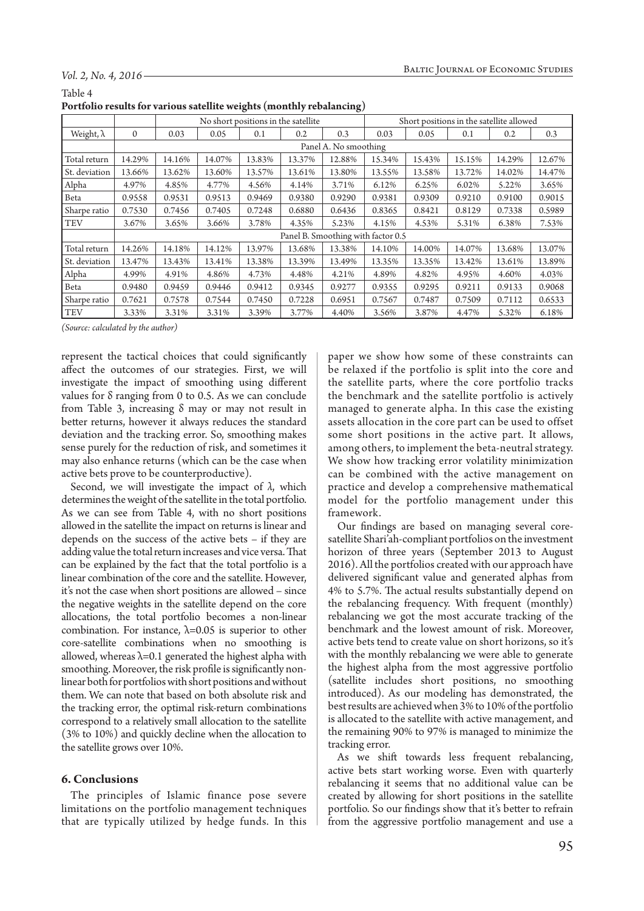#### *Vol. 2, No. 4, 2016*

| Portfolio results for various satellite weights (monthly rebalancing)                                             |
|-------------------------------------------------------------------------------------------------------------------|
| Table 4                                                                                                           |
| $\cdot \cdot \cdot$ $\cdot \cdot$ $\cdot \cdot \cdot$ $\cdot \cdot$ $\cdot \cdot$ $\cdot$ $\cdot$ $\cdot$ $\cdot$ |

| ס-                |                                    |                                     |        |        |        |        |        |                                          |        |        |        |  |
|-------------------|------------------------------------|-------------------------------------|--------|--------|--------|--------|--------|------------------------------------------|--------|--------|--------|--|
|                   |                                    | No short positions in the satellite |        |        |        |        |        | Short positions in the satellite allowed |        |        |        |  |
| Weight, $\lambda$ | $\mathbf{0}$                       | 0.03                                | 0.05   | 0.1    | 0.2    | 0.3    | 0.03   | 0.05                                     | 0.1    | 0.2    | 0.3    |  |
|                   | Panel A. No smoothing              |                                     |        |        |        |        |        |                                          |        |        |        |  |
| Total return      | 14.29%                             | 14.16%                              | 14.07% | 13.83% | 13.37% | 12.88% | 15.34% | 15.43%                                   | 15.15% | 14.29% | 12.67% |  |
| St. deviation     | 13.66%                             | 13.62%                              | 13.60% | 13.57% | 13.61% | 13.80% | 13.55% | 13.58%                                   | 13.72% | 14.02% | 14.47% |  |
| Alpha             | 4.97%                              | 4.85%                               | 4.77%  | 4.56%  | 4.14%  | 3.71%  | 6.12%  | 6.25%                                    | 6.02%  | 5.22%  | 3.65%  |  |
| Beta              | 0.9558                             | 0.9531                              | 0.9513 | 0.9469 | 0.9380 | 0.9290 | 0.9381 | 0.9309                                   | 0.9210 | 0.9100 | 0.9015 |  |
| Sharpe ratio      | 0.7530                             | 0.7456                              | 0.7405 | 0.7248 | 0.6880 | 0.6436 | 0.8365 | 0.8421                                   | 0.8129 | 0.7338 | 0.5989 |  |
| <b>TEV</b>        | 3.67%                              | 3.65%                               | 3.66%  | 3.78%  | 4.35%  | 5.23%  | 4.15%  | 4.53%                                    | 5.31%  | 6.38%  | 7.53%  |  |
|                   | Panel B. Smoothing with factor 0.5 |                                     |        |        |        |        |        |                                          |        |        |        |  |
| Total return      | 14.26%                             | 14.18%                              | 14.12% | 13.97% | 13.68% | 13.38% | 14.10% | 14.00%                                   | 14.07% | 13.68% | 13.07% |  |
| St. deviation     | 13.47%                             | 13.43%                              | 13.41% | 13.38% | 13.39% | 13.49% | 13.35% | 13.35%                                   | 13.42% | 13.61% | 13.89% |  |
| Alpha             | 4.99%                              | 4.91%                               | 4.86%  | 4.73%  | 4.48%  | 4.21%  | 4.89%  | 4.82%                                    | 4.95%  | 4.60%  | 4.03%  |  |
| Beta              | 0.9480                             | 0.9459                              | 0.9446 | 0.9412 | 0.9345 | 0.9277 | 0.9355 | 0.9295                                   | 0.9211 | 0.9133 | 0.9068 |  |
| Sharpe ratio      | 0.7621                             | 0.7578                              | 0.7544 | 0.7450 | 0.7228 | 0.6951 | 0.7567 | 0.7487                                   | 0.7509 | 0.7112 | 0.6533 |  |
| <b>TEV</b>        | 3.33%                              | 3.31%                               | 3.31%  | 3.39%  | 3.77%  | 4.40%  | 3.56%  | 3.87%                                    | 4.47%  | 5.32%  | 6.18%  |  |

*(Source: calculated by the author)*

represent the tactical choices that could significantly affect the outcomes of our strategies. First, we will investigate the impact of smoothing using different values for δ ranging from 0 to 0.5. As we can conclude from Table 3, increasing  $\delta$  may or may not result in better returns, however it always reduces the standard deviation and the tracking error. So, smoothing makes sense purely for the reduction of risk, and sometimes it may also enhance returns (which can be the case when active bets prove to be counterproductive).

Second, we will investigate the impact of *λ*, which determines the weight of the satellite in the total portfolio. As we can see from Table 4, with no short positions allowed in the satellite the impact on returns is linear and depends on the success of the active bets – if they are adding value the total return increases and vice versa. That can be explained by the fact that the total portfolio is a linear combination of the core and the satellite. However, it's not the case when short positions are allowed – since the negative weights in the satellite depend on the core allocations, the total portfolio becomes a non-linear combination. For instance,  $\lambda$ =0.05 is superior to other core-satellite combinations when no smoothing is allowed, whereas  $\lambda$ =0.1 generated the highest alpha with smoothing. Moreover, the risk profile is significantly nonlinear both for portfolios with short positions and without them. We can note that based on both absolute risk and the tracking error, the optimal risk-return combinations correspond to a relatively small allocation to the satellite (3% to 10%) and quickly decline when the allocation to the satellite grows over 10%.

#### **6. Conclusions**

The principles of Islamic finance pose severe limitations on the portfolio management techniques that are typically utilized by hedge funds. In this paper we show how some of these constraints can be relaxed if the portfolio is split into the core and the satellite parts, where the core portfolio tracks the benchmark and the satellite portfolio is actively managed to generate alpha. In this case the existing assets allocation in the core part can be used to offset some short positions in the active part. It allows, among others, to implement the beta-neutral strategy. We show how tracking error volatility minimization can be combined with the active management on practice and develop a comprehensive mathematical model for the portfolio management under this framework.

Our findings are based on managing several coresatellite Shari'ah-compliant portfolios on the investment horizon of three years (September 2013 to August 2016). All the portfolios created with our approach have delivered significant value and generated alphas from 4% to 5.7%. The actual results substantially depend on the rebalancing frequency. With frequent (monthly) rebalancing we got the most accurate tracking of the benchmark and the lowest amount of risk. Moreover, active bets tend to create value on short horizons, so it's with the monthly rebalancing we were able to generate the highest alpha from the most aggressive portfolio (satellite includes short positions, no smoothing introduced). As our modeling has demonstrated, the best results are achieved when 3% to 10% of the portfolio is allocated to the satellite with active management, and the remaining 90% to 97% is managed to minimize the tracking error.

As we shift towards less frequent rebalancing, active bets start working worse. Even with quarterly rebalancing it seems that no additional value can be created by allowing for short positions in the satellite portfolio. So our findings show that it's better to refrain from the aggressive portfolio management and use a